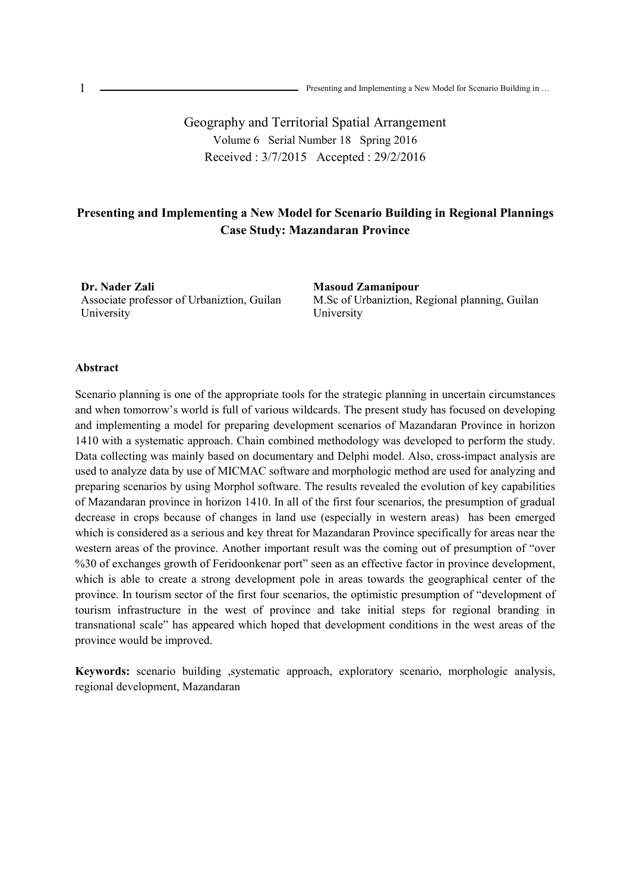Geography and Territorial Spatial Arrangement Volume 6 Serial Number 18 Spring 2016 Received : 3/7/2015 Accepted : 29/2/2016

# **Presenting and Implementing a New Model for Scenario Building in Regional Plannings Case Study: Mazandaran Province**

**Dr. Nader Zali** Associate professor of Urbaniztion, Guilan University

**Masoud Zamanipour**  M.Sc of Urbaniztion, Regional planning, Guilan University

### **Abstract**

Scenario planning is one of the appropriate tools for the strategic planning in uncertain circumstances and when tomorrow's world is full of various wildcards. The present study has focused on developing and implementing a model for preparing development scenarios of Mazandaran Province in horizon 1410 with a systematic approach. Chain combined methodology was developed to perform the study. Data collecting was mainly based on documentary and Delphi model. Also, cross-impact analysis are used to analyze data by use of MICMAC software and morphologic method are used for analyzing and preparing scenarios by using Morphol software. The results revealed the evolution of key capabilities of Mazandaran province in horizon 1410. In all of the first four scenarios, the presumption of gradual decrease in crops because of changes in land use (especially in western areas) has been emerged which is considered as a serious and key threat for Mazandaran Province specifically for areas near the western areas of the province. Another important result was the coming out of presumption of "over %30 of exchanges growth of Feridoonkenar port" seen as an effective factor in province development, which is able to create a strong development pole in areas towards the geographical center of the province. In tourism sector of the first four scenarios, the optimistic presumption of "development of tourism infrastructure in the west of province and take initial steps for regional branding in transnational scale" has appeared which hoped that development conditions in the west areas of the province would be improved.

**Keywords:** scenario building ,systematic approach, exploratory scenario, morphologic analysis, regional development, Mazandaran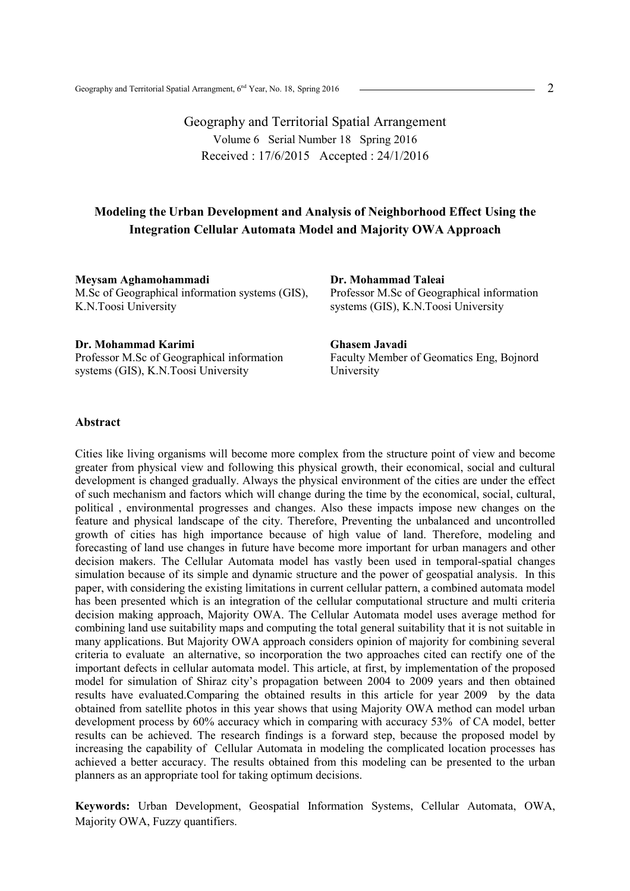Geography and Territorial Spatial Arrangement Volume 6 Serial Number 18 Spring 2016 Received : 17/6/2015 Accepted : 24/1/2016

### **Modeling the Urban Development and Analysis of Neighborhood Effect Using the Integration Cellular Automata Model and Majority OWA Approach**

**Meysam Aghamohammadi** M.Sc of Geographical information systems (GIS), K.N.Toosi University

**Dr. Mohammad Taleai**  Professor M.Sc of Geographical information systems (GIS), K.N.Toosi University

Faculty Member of Geomatics Eng, Bojnord

**Ghasem Javadi** 

University

**Dr. Mohammad Karimi**  Professor M.Sc of Geographical information systems (GIS), K.N.Toosi University

#### **Abstract**

Cities like living organisms will become more complex from the structure point of view and become greater from physical view and following this physical growth, their economical, social and cultural development is changed gradually. Always the physical environment of the cities are under the effect of such mechanism and factors which will change during the time by the economical, social, cultural, political , environmental progresses and changes. Also these impacts impose new changes on the feature and physical landscape of the city. Therefore, Preventing the unbalanced and uncontrolled growth of cities has high importance because of high value of land. Therefore, modeling and forecasting of land use changes in future have become more important for urban managers and other decision makers. The Cellular Automata model has vastly been used in temporal-spatial changes simulation because of its simple and dynamic structure and the power of geospatial analysis. In this paper, with considering the existing limitations in current cellular pattern, a combined automata model has been presented which is an integration of the cellular computational structure and multi criteria decision making approach, Majority OWA. The Cellular Automata model uses average method for combining land use suitability maps and computing the total general suitability that it is not suitable in many applications. But Majority OWA approach considers opinion of majority for combining several criteria to evaluate an alternative, so incorporation the two approaches cited can rectify one of the important defects in cellular automata model. This article, at first, by implementation of the proposed model for simulation of Shiraz city's propagation between 2004 to 2009 years and then obtained results have evaluated.Comparing the obtained results in this article for year 2009 by the data obtained from satellite photos in this year shows that using Majority OWA method can model urban development process by 60% accuracy which in comparing with accuracy 53% of CA model, better results can be achieved. The research findings is a forward step, because the proposed model by increasing the capability of Cellular Automata in modeling the complicated location processes has achieved a better accuracy. The results obtained from this modeling can be presented to the urban planners as an appropriate tool for taking optimum decisions.

**Keywords:** Urban Development, Geospatial Information Systems, Cellular Automata, OWA, Majority OWA, Fuzzy quantifiers.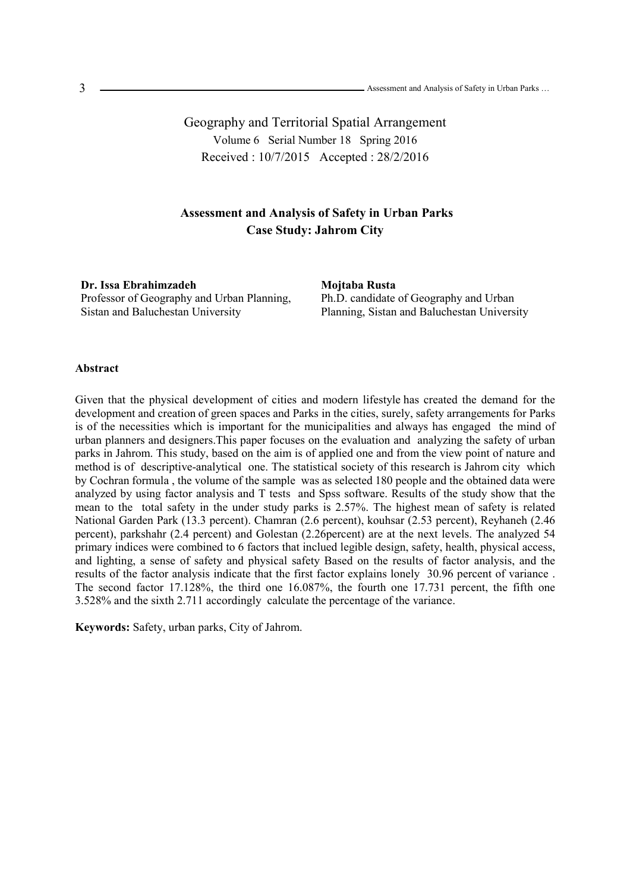Geography and Territorial Spatial Arrangement Volume 6 Serial Number 18 Spring 2016 Received : 10/7/2015 Accepted : 28/2/2016

## **Assessment and Analysis of Safety in Urban Parks Case Study: Jahrom City**

**Dr. Issa Ebrahimzadeh**  Professor of Geography and Urban Planning, Sistan and Baluchestan University

**Mojtaba Rusta** 

Ph.D. candidate of Geography and Urban Planning, Sistan and Baluchestan University

#### **Abstract**

Given that the physical development of cities and modern lifestyle has created the demand for the development and creation of green spaces and Parks in the cities, surely, safety arrangements for Parks is of the necessities which is important for the municipalities and always has engaged the mind of urban planners and designers.This paper focuses on the evaluation and analyzing the safety of urban parks in Jahrom. This study, based on the aim is of applied one and from the view point of nature and method is of descriptive-analytical one. The statistical society of this research is Jahrom city which by Cochran formula , the volume of the sample was as selected 180 people and the obtained data were analyzed by using factor analysis and T tests and Spss software. Results of the study show that the mean to the total safety in the under study parks is 2.57%. The highest mean of safety is related National Garden Park (13.3 percent). Chamran (2.6 percent), kouhsar (2.53 percent), Reyhaneh (2.46 percent), parkshahr (2.4 percent) and Golestan (2.26percent) are at the next levels. The analyzed 54 primary indices were combined to 6 factors that inclued legible design, safety, health, physical access, and lighting, a sense of safety and physical safety Based on the results of factor analysis, and the results of the factor analysis indicate that the first factor explains lonely 30.96 percent of variance . The second factor 17.128%, the third one 16.087%, the fourth one 17.731 percent, the fifth one 3.528% and the sixth 2.711 accordingly calculate the percentage of the variance.

**Keywords:** Safety, urban parks, City of Jahrom.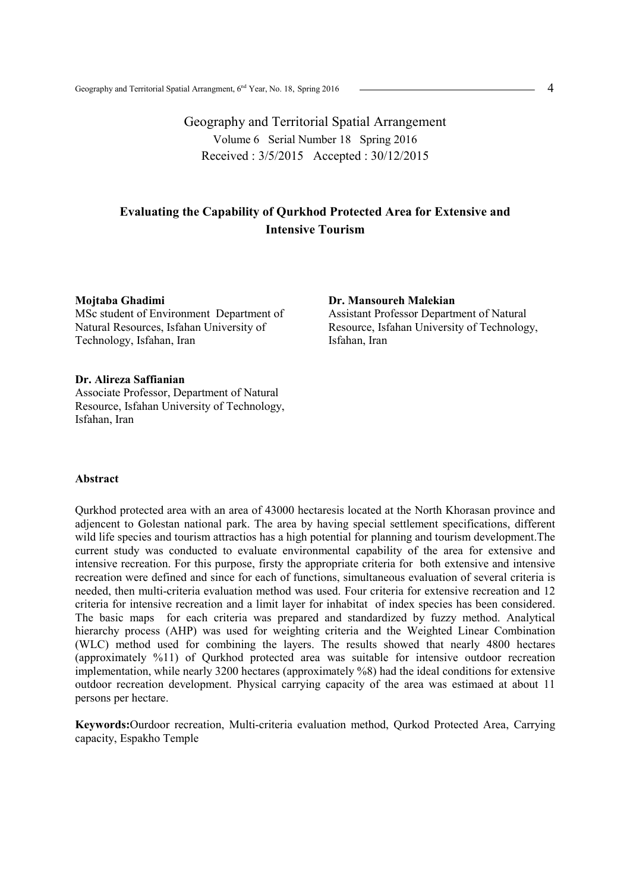Geography and Territorial Spatial Arrangement Volume 6 Serial Number 18 Spring 2016 Received : 3/5/2015 Accepted : 30/12/2015

## **Evaluating the Capability of Qurkhod Protected Area for Extensive and Intensive Tourism**

#### **Mojtaba Ghadimi**

MSc student of Environment Department of Natural Resources, Isfahan University of Technology, Isfahan, Iran

#### **Dr. Alireza Saffianian**

Associate Professor, Department of Natural Resource, Isfahan University of Technology, Isfahan, Iran

### **Abstract**

Qurkhod protected area with an area of 43000 hectaresis located at the North Khorasan province and adjencent to Golestan national park. The area by having special settlement specifications, different wild life species and tourism attractios has a high potential for planning and tourism development.The current study was conducted to evaluate environmental capability of the area for extensive and intensive recreation. For this purpose, firsty the appropriate criteria for both extensive and intensive recreation were defined and since for each of functions, simultaneous evaluation of several criteria is needed, then multi-criteria evaluation method was used. Four criteria for extensive recreation and 12 criteria for intensive recreation and a limit layer for inhabitat of index species has been considered. The basic maps for each criteria was prepared and standardized by fuzzy method. Analytical hierarchy process (AHP) was used for weighting criteria and the Weighted Linear Combination (WLC) method used for combining the layers. The results showed that nearly 4800 hectares (approximately %11) of Qurkhod protected area was suitable for intensive outdoor recreation implementation, while nearly 3200 hectares (approximately %8) had the ideal conditions for extensive outdoor recreation development. Physical carrying capacity of the area was estimaed at about 11 persons per hectare.

**Keywords:**Ourdoor recreation, Multi-criteria evaluation method, Qurkod Protected Area, Carrying capacity, Espakho Temple

**Dr. Mansoureh Malekian**  Assistant Professor Department of Natural Resource, Isfahan University of Technology, Isfahan, Iran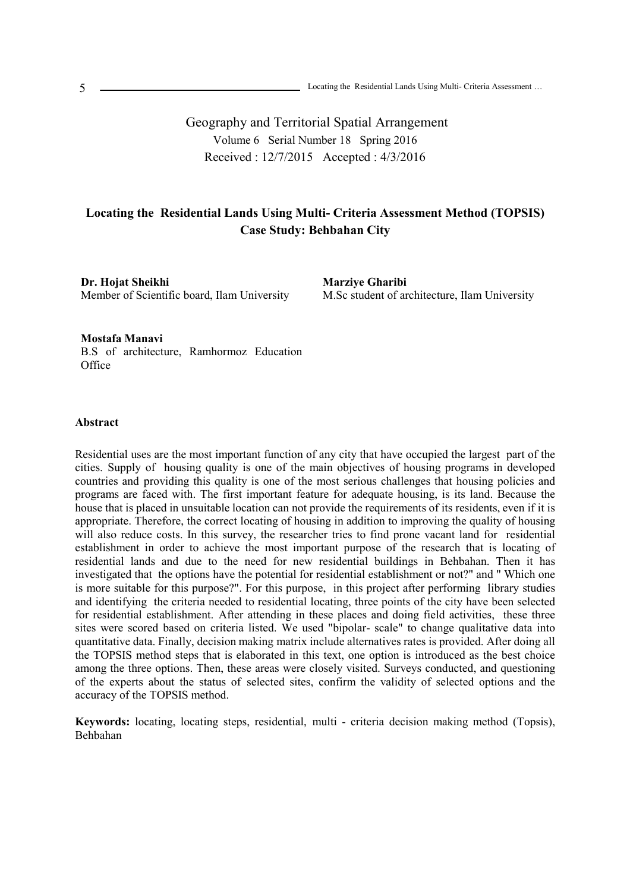Geography and Territorial Spatial Arrangement Volume 6 Serial Number 18 Spring 2016 Received : 12/7/2015 Accepted : 4/3/2016

# **Locating the Residential Lands Using Multi- Criteria Assessment Method (TOPSIS) Case Study: Behbahan City**

**Dr. Hojat Sheikhi**  Member of Scientific board, Ilam University

**Marziye Gharibi**  M.Sc student of architecture, Ilam University

**Mostafa Manavi**  B.S of architecture, Ramhormoz Education **Office** 

#### **Abstract**

Residential uses are the most important function of any city that have occupied the largest part of the cities. Supply of housing quality is one of the main objectives of housing programs in developed countries and providing this quality is one of the most serious challenges that housing policies and programs are faced with. The first important feature for adequate housing, is its land. Because the house that is placed in unsuitable location can not provide the requirements of its residents, even if it is appropriate. Therefore, the correct locating of housing in addition to improving the quality of housing will also reduce costs. In this survey, the researcher tries to find prone vacant land for residential establishment in order to achieve the most important purpose of the research that is locating of residential lands and due to the need for new residential buildings in Behbahan. Then it has investigated that the options have the potential for residential establishment or not?" and " Which one is more suitable for this purpose?". For this purpose, in this project after performing library studies and identifying the criteria needed to residential locating, three points of the city have been selected for residential establishment. After attending in these places and doing field activities, these three sites were scored based on criteria listed. We used "bipolar- scale" to change qualitative data into quantitative data. Finally, decision making matrix include alternatives rates is provided. After doing all the TOPSIS method steps that is elaborated in this text, one option is introduced as the best choice among the three options. Then, these areas were closely visited. Surveys conducted, and questioning of the experts about the status of selected sites, confirm the validity of selected options and the accuracy of the TOPSIS method.

**Keywords:** locating, locating steps, residential, multi - criteria decision making method (Topsis), Behbahan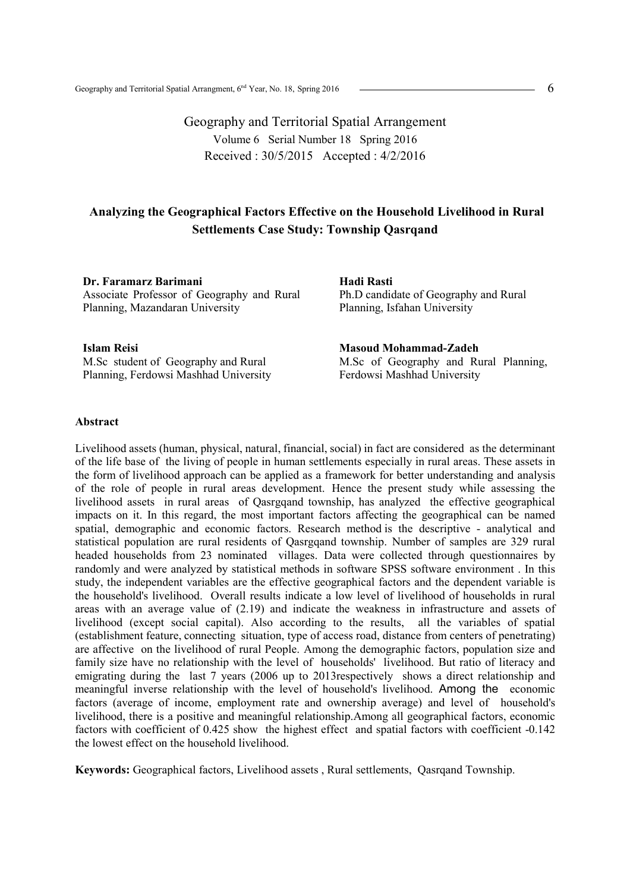Geography and Territorial Spatial Arrangement Volume 6 Serial Number 18 Spring 2016 Received : 30/5/2015 Accepted : 4/2/2016

## **Analyzing the Geographical Factors Effective on the Household Livelihood in Rural Settlements Case Study: Township Qasrqand**

**Dr. Faramarz Barimani**  Associate Professor of Geography and Rural Planning, Mazandaran University

**Hadi Rasti**  Ph.D candidate of Geography and Rural Planning, Isfahan University

**Islam Reisi**  M.Sc student of Geography and Rural Planning, Ferdowsi Mashhad University

**Masoud Mohammad-Zadeh**  M.Sc of Geography and Rural Planning, Ferdowsi Mashhad University

#### **Abstract**

Livelihood assets (human, physical, natural, financial, social) in fact are considered as the determinant of the life base of the living of people in human settlements especially in rural areas. These assets in the form of livelihood approach can be applied as a framework for better understanding and analysis of the role of people in rural areas development. Hence the present study while assessing the livelihood assets in rural areas of Qasrgqand township, has analyzed the effective geographical impacts on it. In this regard, the most important factors affecting the geographical can be named spatial, demographic and economic factors. Research method is the descriptive - analytical and statistical population are rural residents of Qasrgqand township. Number of samples are 329 rural headed households from 23 nominated villages. Data were collected through questionnaires by randomly and were analyzed by statistical methods in software SPSS software environment . In this study, the independent variables are the effective geographical factors and the dependent variable is the household's livelihood. Overall results indicate a low level of livelihood of households in rural areas with an average value of (2.19) and indicate the weakness in infrastructure and assets of livelihood (except social capital). Also according to the results, all the variables of spatial (establishment feature, connecting situation, type of access road, distance from centers of penetrating) are affective on the livelihood of rural People. Among the demographic factors, population size and family size have no relationship with the level of households' livelihood. But ratio of literacy and emigrating during the last 7 years (2006 up to 2013respectively shows a direct relationship and meaningful inverse relationship with the level of household's livelihood. Among the economic factors (average of income, employment rate and ownership average) and level of household's livelihood, there is a positive and meaningful relationship.Among all geographical factors, economic factors with coefficient of 0.425 show the highest effect and spatial factors with coefficient -0.142 the lowest effect on the household livelihood.

**Keywords:** Geographical factors, Livelihood assets , Rural settlements, Qasrqand Township.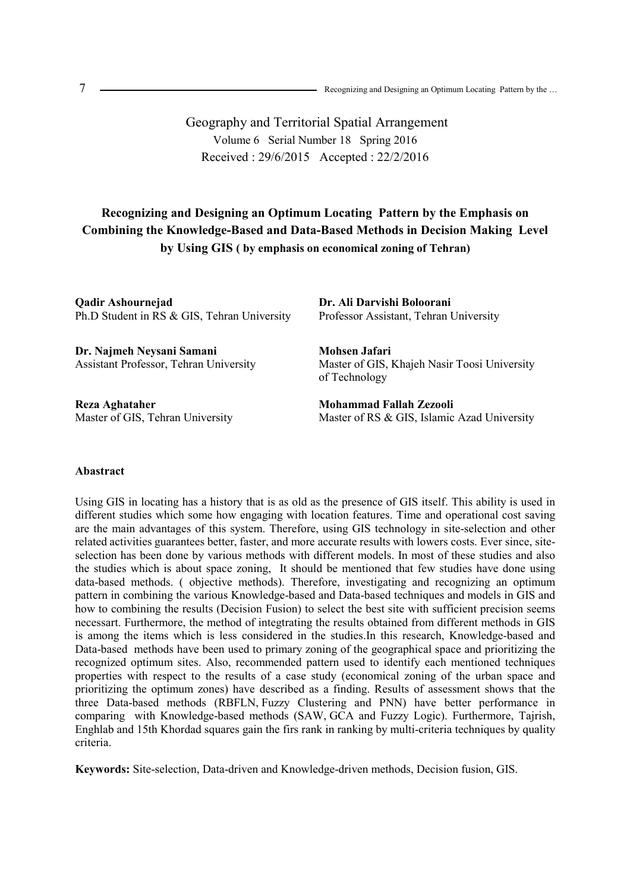Geography and Territorial Spatial Arrangement Volume 6 Serial Number 18 Spring 2016 Received : 29/6/2015 Accepted : 22/2/2016

# **Recognizing and Designing an Optimum Locating Pattern by the Emphasis on Combining the Knowledge-Based and Data-Based Methods in Decision Making Level by Using GIS ( by emphasis on economical zoning of Tehran)**

**Qadir Ashournejad**  Ph.D Student in RS & GIS, Tehran University

**Dr. Najmeh Neysani Samani**  Assistant Professor, Tehran University

**Reza Aghataher**  Master of GIS, Tehran University **Dr. Ali Darvishi Boloorani**  Professor Assistant, Tehran University

**Mohsen Jafari**  Master of GIS, Khajeh Nasir Toosi University of Technology

**Mohammad Fallah Zezooli**  Master of RS & GIS, Islamic Azad University

#### **Abastract**

Using GIS in locating has a history that is as old as the presence of GIS itself. This ability is used in different studies which some how engaging with location features. Time and operational cost saving are the main advantages of this system. Therefore, using GIS technology in site-selection and other related activities guarantees better, faster, and more accurate results with lowers costs. Ever since, siteselection has been done by various methods with different models. In most of these studies and also the studies which is about space zoning, It should be mentioned that few studies have done using data-based methods. ( objective methods). Therefore, investigating and recognizing an optimum pattern in combining the various Knowledge-based and Data-based techniques and models in GIS and how to combining the results (Decision Fusion) to select the best site with sufficient precision seems necessart. Furthermore, the method of integtrating the results obtained from different methods in GIS is among the items which is less considered in the studies.In this research, Knowledge-based and Data-based methods have been used to primary zoning of the geographical space and prioritizing the recognized optimum sites. Also, recommended pattern used to identify each mentioned techniques properties with respect to the results of a case study (economical zoning of the urban space and prioritizing the optimum zones) have described as a finding. Results of assessment shows that the three Data-based methods (RBFLN, Fuzzy Clustering and PNN) have better performance in comparing with Knowledge-based methods (SAW, GCA and Fuzzy Logic). Furthermore, Tajrish, Enghlab and 15th Khordad squares gain the firs rank in ranking by multi-criteria techniques by quality criteria.

**Keywords:** Site-selection, Data-driven and Knowledge-driven methods, Decision fusion, GIS.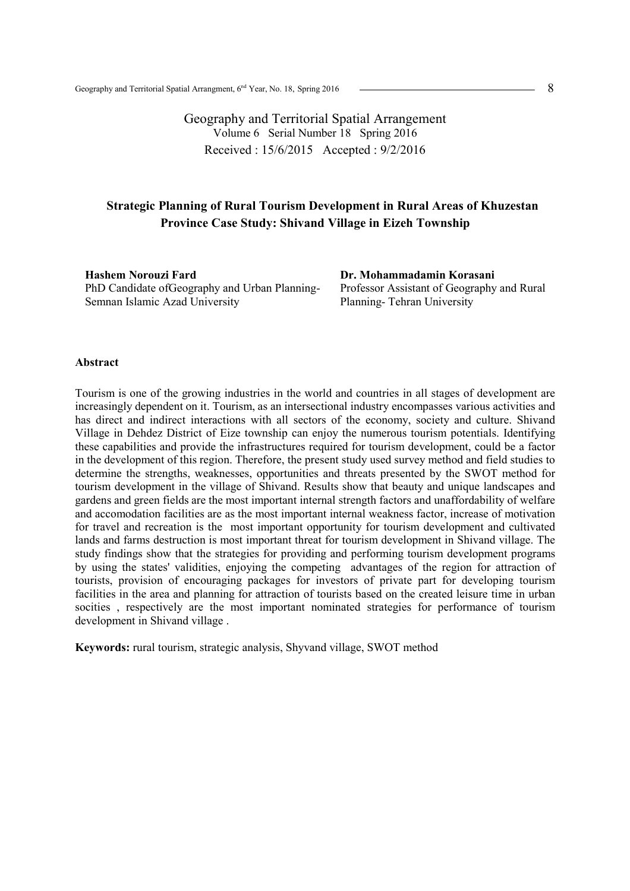Geography and Territorial Spatial Arrangement Volume 6 Serial Number 18 Spring 2016 Received : 15/6/2015 Accepted : 9/2/2016

## **Strategic Planning of Rural Tourism Development in Rural Areas of Khuzestan Province Case Study: Shivand Village in Eizeh Township**

**Hashem Norouzi Fard**  PhD Candidate ofGeography and Urban Planning-Semnan Islamic Azad University

**Dr. Mohammadamin Korasani**  Professor Assistant of Geography and Rural Planning- Tehran University

#### **Abstract**

Tourism is one of the growing industries in the world and countries in all stages of development are increasingly dependent on it. Tourism, as an intersectional industry encompasses various activities and has direct and indirect interactions with all sectors of the economy, society and culture. Shivand Village in Dehdez District of Eize township can enjoy the numerous tourism potentials. Identifying these capabilities and provide the infrastructures required for tourism development, could be a factor in the development of this region. Therefore, the present study used survey method and field studies to determine the strengths, weaknesses, opportunities and threats presented by the SWOT method for tourism development in the village of Shivand. Results show that beauty and unique landscapes and gardens and green fields are the most important internal strength factors and unaffordability of welfare and accomodation facilities are as the most important internal weakness factor, increase of motivation for travel and recreation is the most important opportunity for tourism development and cultivated lands and farms destruction is most important threat for tourism development in Shivand village. The study findings show that the strategies for providing and performing tourism development programs by using the states' validities, enjoying the competing advantages of the region for attraction of tourists, provision of encouraging packages for investors of private part for developing tourism facilities in the area and planning for attraction of tourists based on the created leisure time in urban socities , respectively are the most important nominated strategies for performance of tourism development in Shivand village .

**Keywords:** rural tourism, strategic analysis, Shyvand village, SWOT method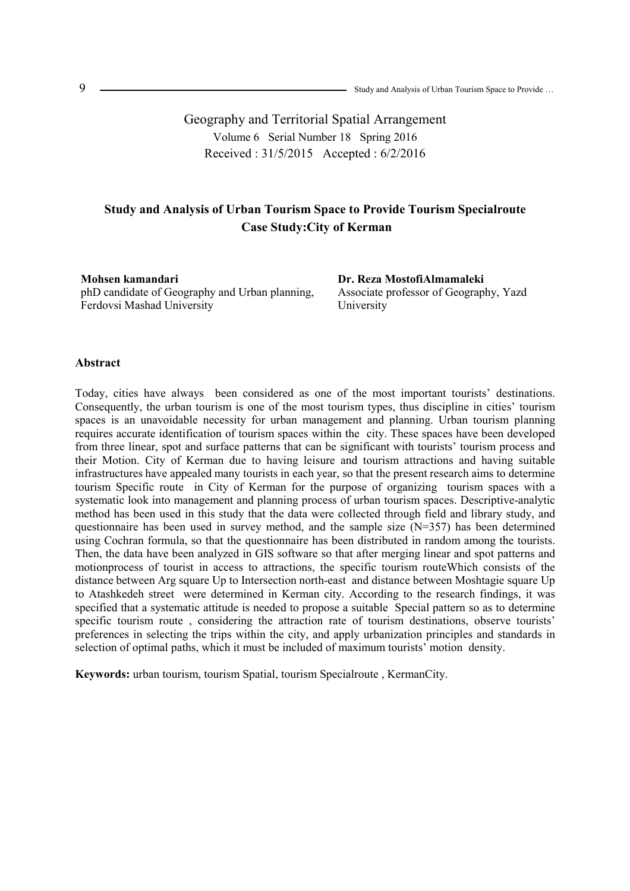Geography and Territorial Spatial Arrangement Volume 6 Serial Number 18 Spring 2016 Received : 31/5/2015 Accepted : 6/2/2016

## **Study and Analysis of Urban Tourism Space to Provide Tourism Specialroute Case Study:City of Kerman**

**Mohsen kamandari**  phD candidate of Geography and Urban planning, Ferdovsi Mashad University

**Dr. Reza MostofiAlmamaleki**  Associate professor of Geography, Yazd University

#### **Abstract**

Today, cities have always been considered as one of the most important tourists' destinations. Consequently, the urban tourism is one of the most tourism types, thus discipline in cities' tourism spaces is an unavoidable necessity for urban management and planning. Urban tourism planning requires accurate identification of tourism spaces within the city. These spaces have been developed from three linear, spot and surface patterns that can be significant with tourists' tourism process and their Motion. City of Kerman due to having leisure and tourism attractions and having suitable infrastructures have appealed many tourists in each year, so that the present research aims to determine tourism Specific route in City of Kerman for the purpose of organizing tourism spaces with a systematic look into management and planning process of urban tourism spaces. Descriptive-analytic method has been used in this study that the data were collected through field and library study, and questionnaire has been used in survey method, and the sample size  $(N=357)$  has been determined using Cochran formula, so that the questionnaire has been distributed in random among the tourists. Then, the data have been analyzed in GIS software so that after merging linear and spot patterns and motionprocess of tourist in access to attractions, the specific tourism routeWhich consists of the distance between Arg square Up to Intersection north-east and distance between Moshtagie square Up to Atashkedeh street were determined in Kerman city. According to the research findings, it was specified that a systematic attitude is needed to propose a suitable Special pattern so as to determine specific tourism route, considering the attraction rate of tourism destinations, observe tourists' preferences in selecting the trips within the city, and apply urbanization principles and standards in selection of optimal paths, which it must be included of maximum tourists' motion density.

**Keywords:** urban tourism, tourism Spatial, tourism Specialroute , KermanCity.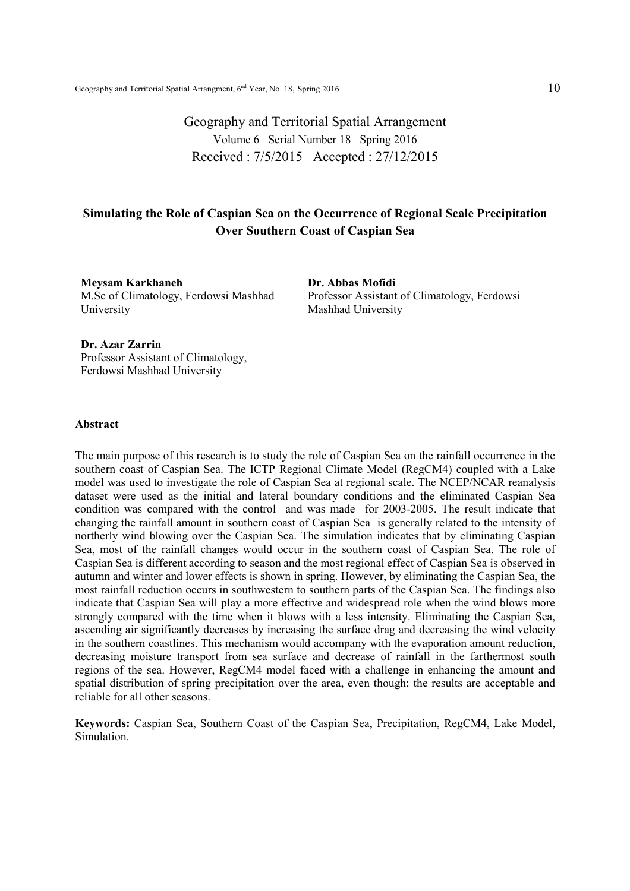Geography and Territorial Spatial Arrangement Volume 6 Serial Number 18 Spring 2016 Received : 7/5/2015 Accepted : 27/12/2015

## **Simulating the Role of Caspian Sea on the Occurrence of Regional Scale Precipitation Over Southern Coast of Caspian Sea**

**Meysam Karkhaneh**  M.Sc of Climatology, Ferdowsi Mashhad University

**Dr. Abbas Mofidi**  Professor Assistant of Climatology, Ferdowsi Mashhad University

**Dr. Azar Zarrin**  Professor Assistant of Climatology, Ferdowsi Mashhad University

### **Abstract**

The main purpose of this research is to study the role of Caspian Sea on the rainfall occurrence in the southern coast of Caspian Sea. The ICTP Regional Climate Model (RegCM4) coupled with a Lake model was used to investigate the role of Caspian Sea at regional scale. The NCEP/NCAR reanalysis dataset were used as the initial and lateral boundary conditions and the eliminated Caspian Sea condition was compared with the control and was made for 2003-2005. The result indicate that changing the rainfall amount in southern coast of Caspian Sea is generally related to the intensity of northerly wind blowing over the Caspian Sea. The simulation indicates that by eliminating Caspian Sea, most of the rainfall changes would occur in the southern coast of Caspian Sea. The role of Caspian Sea is different according to season and the most regional effect of Caspian Sea is observed in autumn and winter and lower effects is shown in spring. However, by eliminating the Caspian Sea, the most rainfall reduction occurs in southwestern to southern parts of the Caspian Sea. The findings also indicate that Caspian Sea will play a more effective and widespread role when the wind blows more strongly compared with the time when it blows with a less intensity. Eliminating the Caspian Sea, ascending air significantly decreases by increasing the surface drag and decreasing the wind velocity in the southern coastlines. This mechanism would accompany with the evaporation amount reduction, decreasing moisture transport from sea surface and decrease of rainfall in the farthermost south regions of the sea. However, RegCM4 model faced with a challenge in enhancing the amount and spatial distribution of spring precipitation over the area, even though; the results are acceptable and reliable for all other seasons.

**Keywords:** Caspian Sea, Southern Coast of the Caspian Sea, Precipitation, RegCM4, Lake Model, Simulation.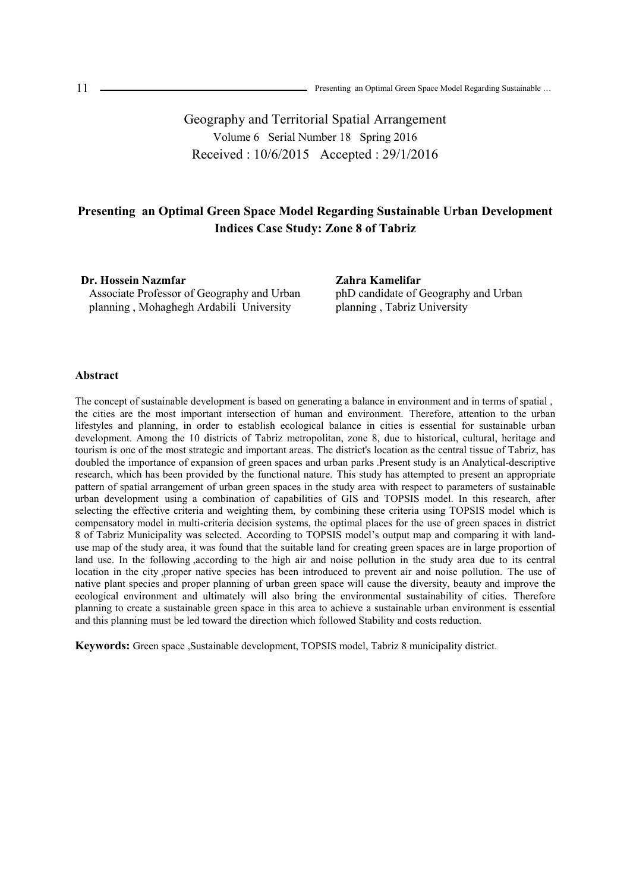Geography and Territorial Spatial Arrangement Volume 6 Serial Number 18 Spring 2016 Received : 10/6/2015 Accepted : 29/1/2016

## **Presenting an Optimal Green Space Model Regarding Sustainable Urban Development Indices Case Study: Zone 8 of Tabriz**

**Dr. Hossein Nazmfar**  Associate Professor of Geography and Urban planning , Mohaghegh Ardabili University

**Zahra Kamelifar**  phD candidate of Geography and Urban planning , Tabriz University

### **Abstract**

The concept of sustainable development is based on generating a balance in environment and in terms of spatial , the cities are the most important intersection of human and environment. Therefore, attention to the urban lifestyles and planning, in order to establish ecological balance in cities is essential for sustainable urban development. Among the 10 districts of Tabriz metropolitan, zone 8, due to historical, cultural, heritage and tourism is one of the most strategic and important areas. The district's location as the central tissue of Tabriz, has doubled the importance of expansion of green spaces and urban parks .Present study is an Analytical-descriptive research, which has been provided by the functional nature. This study has attempted to present an appropriate pattern of spatial arrangement of urban green spaces in the study area with respect to parameters of sustainable urban development using a combination of capabilities of GIS and TOPSIS model. In this research, after selecting the effective criteria and weighting them, by combining these criteria using TOPSIS model which is compensatory model in multi-criteria decision systems, the optimal places for the use of green spaces in district 8 of Tabriz Municipality was selected. According to TOPSIS model's output map and comparing it with landuse map of the study area, it was found that the suitable land for creating green spaces are in large proportion of land use. In the following ,according to the high air and noise pollution in the study area due to its central location in the city ,proper native species has been introduced to prevent air and noise pollution. The use of native plant species and proper planning of urban green space will cause the diversity, beauty and improve the ecological environment and ultimately will also bring the environmental sustainability of cities. Therefore planning to create a sustainable green space in this area to achieve a sustainable urban environment is essential and this planning must be led toward the direction which followed Stability and costs reduction.

**Keywords:** Green space ,Sustainable development, TOPSIS model, Tabriz 8 municipality district.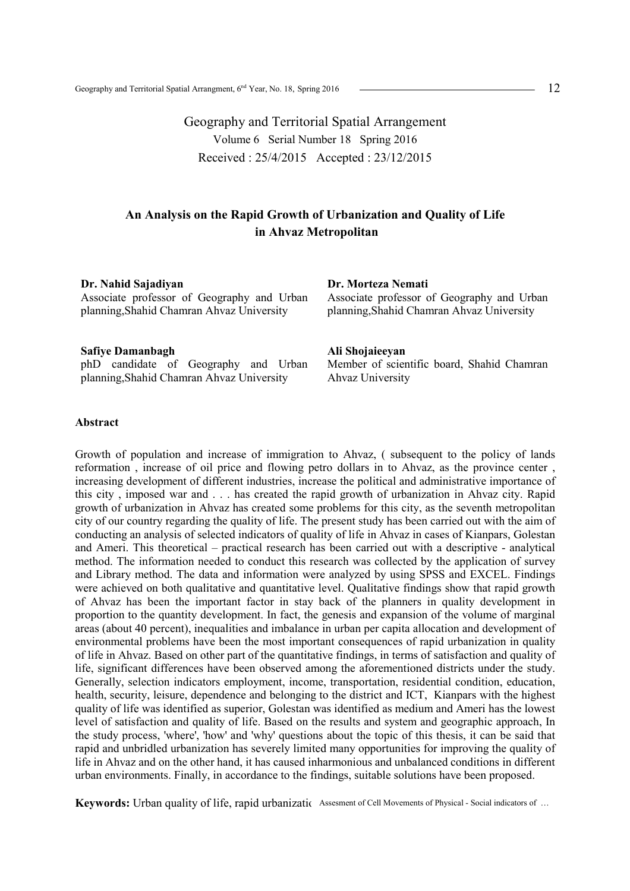Geography and Territorial Spatial Arrangement Volume 6 Serial Number 18 Spring 2016 Received : 25/4/2015 Accepted : 23/12/2015

# **An Analysis on the Rapid Growth of Urbanization and Quality of Life in Ahvaz Metropolitan**

**Dr. Nahid Sajadiyan** 

Associate professor of Geography and Urban planning,Shahid Chamran Ahvaz University

### **Safiye Damanbagh**

phD candidate of Geography and Urban planning,Shahid Chamran Ahvaz University

#### **Dr. Morteza Nemati**

Associate professor of Geography and Urban planning,Shahid Chamran Ahvaz University

#### **Ali Shojaieeyan**

Member of scientific board, Shahid Chamran Ahvaz University

#### **Abstract**

Growth of population and increase of immigration to Ahvaz, ( subsequent to the policy of lands reformation , increase of oil price and flowing petro dollars in to Ahvaz, as the province center , increasing development of different industries, increase the political and administrative importance of this city , imposed war and . . . has created the rapid growth of urbanization in Ahvaz city. Rapid growth of urbanization in Ahvaz has created some problems for this city, as the seventh metropolitan city of our country regarding the quality of life. The present study has been carried out with the aim of conducting an analysis of selected indicators of quality of life in Ahvaz in cases of Kianpars, Golestan and Ameri. This theoretical – practical research has been carried out with a descriptive - analytical method. The information needed to conduct this research was collected by the application of survey and Library method. The data and information were analyzed by using SPSS and EXCEL. Findings were achieved on both qualitative and quantitative level. Qualitative findings show that rapid growth of Ahvaz has been the important factor in stay back of the planners in quality development in proportion to the quantity development. In fact, the genesis and expansion of the volume of marginal areas (about 40 percent), inequalities and imbalance in urban per capita allocation and development of environmental problems have been the most important consequences of rapid urbanization in quality of life in Ahvaz. Based on other part of the quantitative findings, in terms of satisfaction and quality of life, significant differences have been observed among the aforementioned districts under the study. Generally, selection indicators employment, income, transportation, residential condition, education, health, security, leisure, dependence and belonging to the district and ICT, Kianpars with the highest quality of life was identified as superior, Golestan was identified as medium and Ameri has the lowest level of satisfaction and quality of life. Based on the results and system and geographic approach, In the study process, 'where', 'how' and 'why' questions about the topic of this thesis, it can be said that rapid and unbridled urbanization has severely limited many opportunities for improving the quality of life in Ahvaz and on the other hand, it has caused inharmonious and unbalanced conditions in different urban environments. Finally, in accordance to the findings, suitable solutions have been proposed.

Keywords: Urban quality of life, rapid urbanization assesment of Cell Movements of Physical - Social indicators of …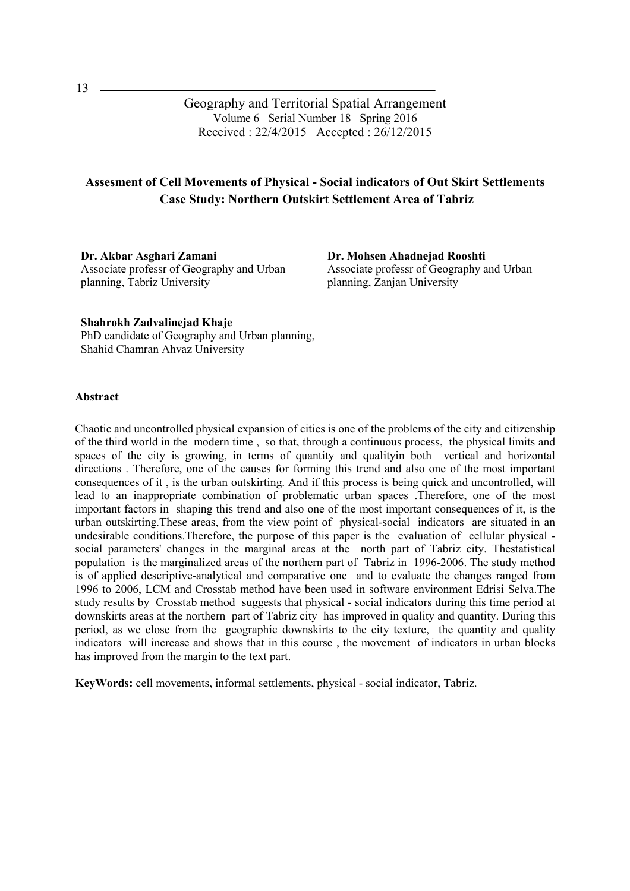Geography and Territorial Spatial Arrangement Volume 6 Serial Number 18 Spring 2016 Received : 22/4/2015 Accepted : 26/12/2015

# **Assesment of Cell Movements of Physical - Social indicators of Out Skirt Settlements Case Study: Northern Outskirt Settlement Area of Tabriz**

**Dr. Akbar Asghari Zamani**  Associate professr of Geography and Urban planning, Tabriz University

**Dr. Mohsen Ahadnejad Rooshti**  Associate professr of Geography and Urban planning, Zanjan University

**Shahrokh Zadvalinejad Khaje**  PhD candidate of Geography and Urban planning, Shahid Chamran Ahvaz University

#### **Abstract**

Chaotic and uncontrolled physical expansion of cities is one of the problems of the city and citizenship of the third world in the modern time , so that, through a continuous process, the physical limits and spaces of the city is growing, in terms of quantity and qualityin both vertical and horizontal directions . Therefore, one of the causes for forming this trend and also one of the most important consequences of it , is the urban outskirting. And if this process is being quick and uncontrolled, will lead to an inappropriate combination of problematic urban spaces .Therefore, one of the most important factors in shaping this trend and also one of the most important consequences of it, is the urban outskirting.These areas, from the view point of physical-social indicators are situated in an undesirable conditions.Therefore, the purpose of this paper is the evaluation of cellular physical social parameters' changes in the marginal areas at the north part of Tabriz city. Thestatistical population is the marginalized areas of the northern part of Tabriz in 1996-2006. The study method is of applied descriptive-analytical and comparative one and to evaluate the changes ranged from 1996 to 2006, LCM and Crosstab method have been used in software environment Edrisi Selva.The study results by Crosstab method suggests that physical - social indicators during this time period at downskirts areas at the northern part of Tabriz city has improved in quality and quantity. During this period, as we close from the geographic downskirts to the city texture, the quantity and quality indicators will increase and shows that in this course , the movement of indicators in urban blocks has improved from the margin to the text part.

**KeyWords:** cell movements, informal settlements, physical - social indicator, Tabriz.